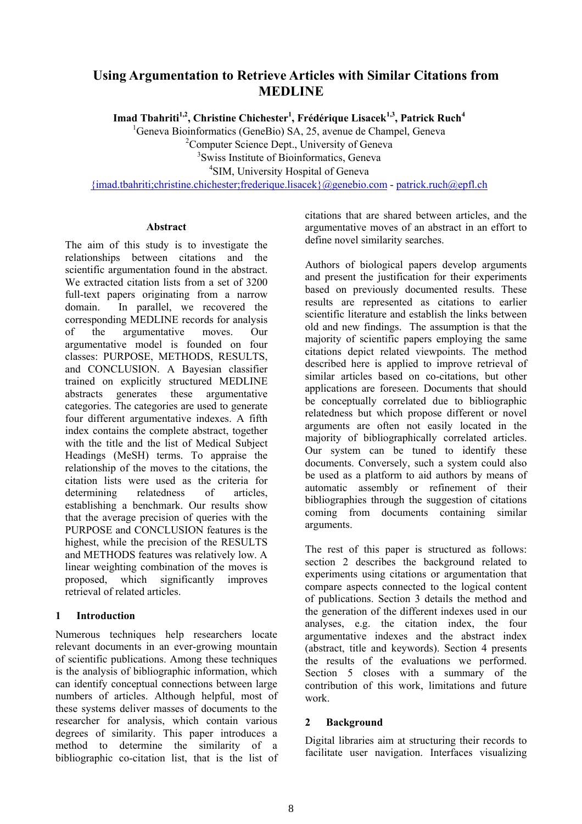# **Using Argumentation to Retrieve Articles with Similar Citations from MEDLINE**

Imad Tbahriti<sup>1,2</sup>, Christine Chichester<sup>1</sup>, Frédérique Lisacek<sup>1,3</sup>, Patrick Ruch<sup>4</sup>

<sup>1</sup>Geneva Bioinformatics (GeneBio) SA, 25, avenue de Champel, Geneva

<sup>2</sup>Computer Science Dept., University of Geneva

3 Swiss Institute of Bioinformatics, Geneva

<sup>4</sup>SIM, University Hospital of Geneva

[{imad.tbahriti;christine.chichester;frederique.lisacek}@genebio.com](mailto:{imad.tbahriti;christine.chichester;frederique.lisacek}@genebio.com) - [patrick.ruch@epfl.ch](mailto:patrick.ruch@epfl.ch)

### **Abstract**

The aim of this study is to investigate the relationships between citations and the scientific argumentation found in the abstract. We extracted citation lists from a set of 3200 full-text papers originating from a narrow domain. In parallel, we recovered the corresponding MEDLINE records for analysis of the argumentative moves. Our argumentative model is founded on four classes: PURPOSE, METHODS, RESULTS, and CONCLUSION. A Bayesian classifier trained on explicitly structured MEDLINE abstracts generates these argumentative categories. The categories are used to generate four different argumentative indexes. A fifth index contains the complete abstract, together with the title and the list of Medical Subject Headings (MeSH) terms. To appraise the relationship of the moves to the citations, the citation lists were used as the criteria for determining relatedness of articles, establishing a benchmark. Our results show that the average precision of queries with the PURPOSE and CONCLUSION features is the highest, while the precision of the RESULTS and METHODS features was relatively low. A linear weighting combination of the moves is proposed, which significantly improves retrieval of related articles.

## **1 Introduction**

Numerous techniques help researchers locate relevant documents in an ever-growing mountain of scientific publications. Among these techniques is the analysis of bibliographic information, which can identify conceptual connections between large numbers of articles. Although helpful, most of these systems deliver masses of documents to the researcher for analysis, which contain various degrees of similarity. This paper introduces a method to determine the similarity of a bibliographic co-citation list, that is the list of citations that are shared between articles, and the argumentative moves of an abstract in an effort to define novel similarity searches.

Authors of biological papers develop arguments and present the justification for their experiments based on previously documented results. These results are represented as citations to earlier scientific literature and establish the links between old and new findings. The assumption is that the majority of scientific papers employing the same citations depict related viewpoints. The method described here is applied to improve retrieval of similar articles based on co-citations, but other applications are foreseen. Documents that should be conceptually correlated due to bibliographic relatedness but which propose different or novel arguments are often not easily located in the majority of bibliographically correlated articles. Our system can be tuned to identify these documents. Conversely, such a system could also be used as a platform to aid authors by means of automatic assembly or refinement of their bibliographies through the suggestion of citations coming from documents containing similar arguments.

The rest of this paper is structured as follows: section 2 describes the background related to experiments using citations or argumentation that compare aspects connected to the logical content of publications. Section 3 details the method and the generation of the different indexes used in our analyses, e.g. the citation index, the four argumentative indexes and the abstract index (abstract, title and keywords). Section 4 presents the results of the evaluations we performed. Section 5 closes with a summary of the contribution of this work, limitations and future work.

## **2 Background**

Digital libraries aim at structuring their records to facilitate user navigation. Interfaces visualizing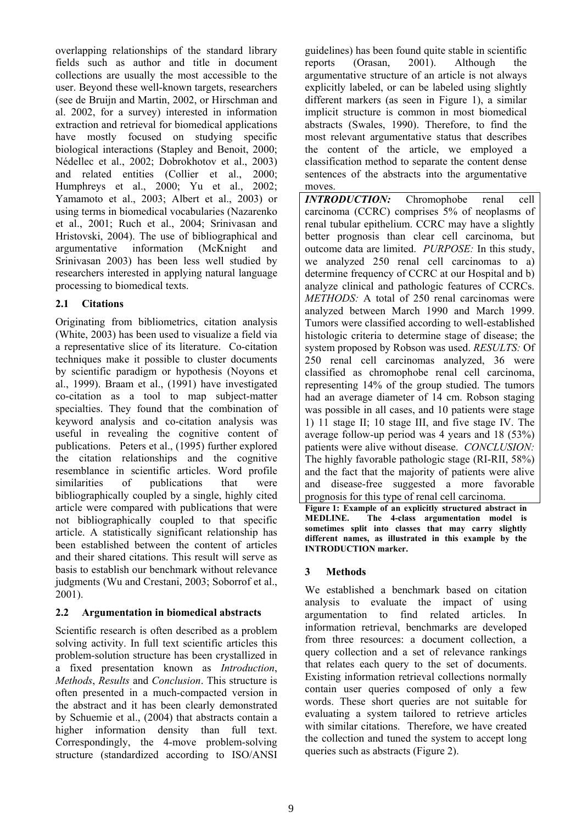overlapping relationships of the standard library fields such as author and title in document collections are usually the most accessible to the user. Beyond these well-known targets, researchers (see de Bruijn and Martin, 2002, or Hirschman and al. 2002, for a survey) interested in information extraction and retrieval for biomedical applications have mostly focused on studying specific biological interactions (Stapley and Benoit, 2000; Nédellec et al., 2002; Dobrokhotov et al., 2003) and related entities (Collier et al., 2000; Humphreys et al., 2000; Yu et al., 2002; Yamamoto et al., 2003; Albert et al., 2003) or using terms in biomedical vocabularies (Nazarenko et al., 2001; Ruch et al., 2004; Srinivasan and Hristovski, 2004). The use of bibliographical and argumentative information (McKnight and Srinivasan 2003) has been less well studied by researchers interested in applying natural language processing to biomedical texts.

### **2.1 Citations**

Originating from bibliometrics, citation analysis (White, 2003) has been used to visualize a field via a representative slice of its literature. Co-citation techniques make it possible to cluster documents by scientific paradigm or hypothesis (Noyons et al., 1999). Braam et al., (1991) have investigated co-citation as a tool to map subject-matter specialties. They found that the combination of keyword analysis and co-citation analysis was useful in revealing the cognitive content of publications. Peters et al., (1995) further explored the citation relationships and the cognitive resemblance in scientific articles. Word profile similarities of publications that were bibliographically coupled by a single, highly cited article were compared with publications that were not bibliographically coupled to that specific article. A statistically significant relationship has been established between the content of articles and their shared citations. This result will serve as basis to establish our benchmark without relevance judgments (Wu and Crestani, 2003; Soborrof et al., 2001).

## **2.2 Argumentation in biomedical abstracts**

Scientific research is often described as a problem solving activity. In full text scientific articles this problem-solution structure has been crystallized in a fixed presentation known as *Introduction*, *Methods*, *Results* and *Conclusion*. This structure is often presented in a much-compacted version in the abstract and it has been clearly demonstrated by Schuemie et al., (2004) that abstracts contain a higher information density than full text. Correspondingly, the 4-move problem-solving structure (standardized according to ISO/ANSI guidelines) has been found quite stable in scientific reports (Orasan, 2001). Although the argumentative structure of an article is not always explicitly labeled, or can be labeled using slightly different markers (as seen in Figure 1), a similar implicit structure is common in most biomedical abstracts (Swales, 1990). Therefore, to find the most relevant argumentative status that describes the content of the article, we employed a classification method to separate the content dense sentences of the abstracts into the argumentative moves.

*INTRODUCTION:* Chromophobe renal cell carcinoma (CCRC) comprises 5% of neoplasms of renal tubular epithelium. CCRC may have a slightly better prognosis than clear cell carcinoma, but outcome data are limited. *PURPOSE:* In this study, we analyzed 250 renal cell carcinomas to a) determine frequency of CCRC at our Hospital and b) analyze clinical and pathologic features of CCRCs. *METHODS:* A total of 250 renal carcinomas were analyzed between March 1990 and March 1999. Tumors were classified according to well-established histologic criteria to determine stage of disease; the system proposed by Robson was used. *RESULTS:* Of 250 renal cell carcinomas analyzed, 36 were classified as chromophobe renal cell carcinoma, representing 14% of the group studied. The tumors had an average diameter of 14 cm. Robson staging was possible in all cases, and 10 patients were stage 1) 11 stage II; 10 stage III, and five stage IV. The average follow-up period was 4 years and 18 (53%) patients were alive without disease. *CONCLUSION:* The highly favorable pathologic stage (RI-RII, 58%) and the fact that the majority of patients were alive and disease-free suggested a more favorable prognosis for this type of renal cell carcinoma.

**Figure 1: Example of an explicitly structured abstract in MEDLINE. The 4-class argumentation model is sometimes split into classes that may carry slightly different names, as illustrated in this example by the INTRODUCTION marker.**

## **3 Methods**

We established a benchmark based on citation analysis to evaluate the impact of using argumentation to find related articles. In information retrieval, benchmarks are developed from three resources: a document collection, a query collection and a set of relevance rankings that relates each query to the set of documents. Existing information retrieval collections normally contain user queries composed of only a few words. These short queries are not suitable for evaluating a system tailored to retrieve articles with similar citations. Therefore, we have created the collection and tuned the system to accept long queries such as abstracts (Figure 2).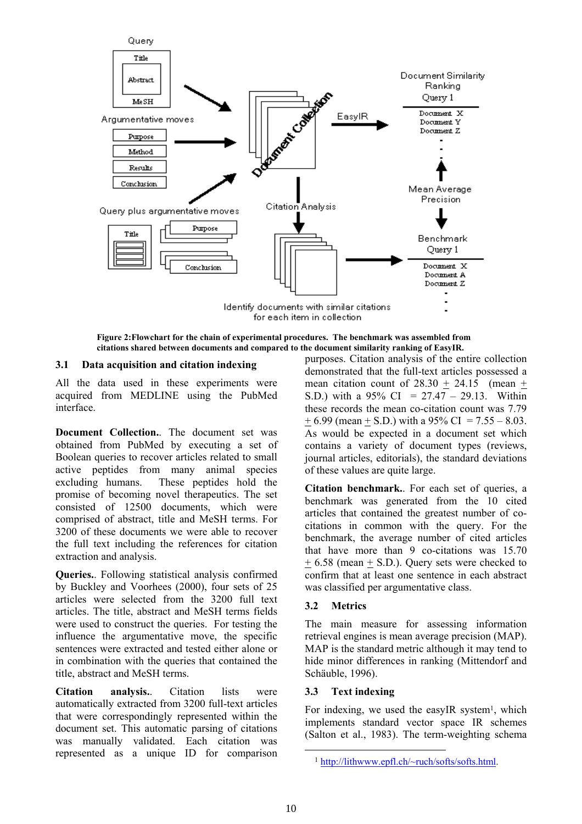

**Figure 2:Flowchart for the chain of experimental procedures. The benchmark was assembled from citations shared between documents and compared to the document similarity ranking of EasyIR.** 

#### **3.1 Data acquisition and citation indexing**

All the data used in these experiments were acquired from MEDLINE using the PubMed interface.

**Document Collection.**. The document set was obtained from PubMed by executing a set of Boolean queries to recover articles related to small active peptides from many animal species excluding humans. These peptides hold the promise of becoming novel therapeutics. The set consisted of 12500 documents, which were comprised of abstract, title and MeSH terms. For 3200 of these documents we were able to recover the full text including the references for citation extraction and analysis.

**Queries.**. Following statistical analysis confirmed by Buckley and Voorhees (2000), four sets of 25 articles were selected from the 3200 full text articles. The title, abstract and MeSH terms fields were used to construct the queries. For testing the influence the argumentative move, the specific sentences were extracted and tested either alone or in combination with the queries that contained the title, abstract and MeSH terms.

**Citation analysis.**. Citation lists were automatically extracted from 3200 full-text articles that were correspondingly represented within the document set. This automatic parsing of citations was manually validated. Each citation was represented as a unique ID for comparison purposes. Citation analysis of the entire collection demonstrated that the full-text articles possessed a mean citation count of  $28.30 \pm 24.15$  (mean  $\pm$ S.D.) with a  $95\%$  CI =  $27.47 - 29.13$ . Within these records the mean co-citation count was 7.79  $+ 6.99$  (mean  $+ S.D.$ ) with a 95% CI = 7.55 – 8.03. As would be expected in a document set which contains a variety of document types (reviews, journal articles, editorials), the standard deviations of these values are quite large.

**Citation benchmark.**. For each set of queries, a benchmark was generated from the 10 cited articles that contained the greatest number of cocitations in common with the query. For the benchmark, the average number of cited articles that have more than 9 co-citations was 15.70 + 6.58 (mean + S.D.). Query sets were checked to confirm that at least one sentence in each abstract was classified per argumentative class.

#### **3.2 Metrics**

The main measure for assessing information retrieval engines is mean average precision (MAP). MAP is the standard metric although it may tend to hide minor differences in ranking (Mittendorf and Schäuble, 1996).

#### **3.3 Text indexing**

For indexing, we used the easyIR system<sup>1</sup>, which implements standard vector space IR schemes (Salton et al., 1983). The term-weighting schema

<span id="page-2-0"></span> <sup>1</sup> <http://lithwww.epfl.ch/~ruch/softs/softs.html>.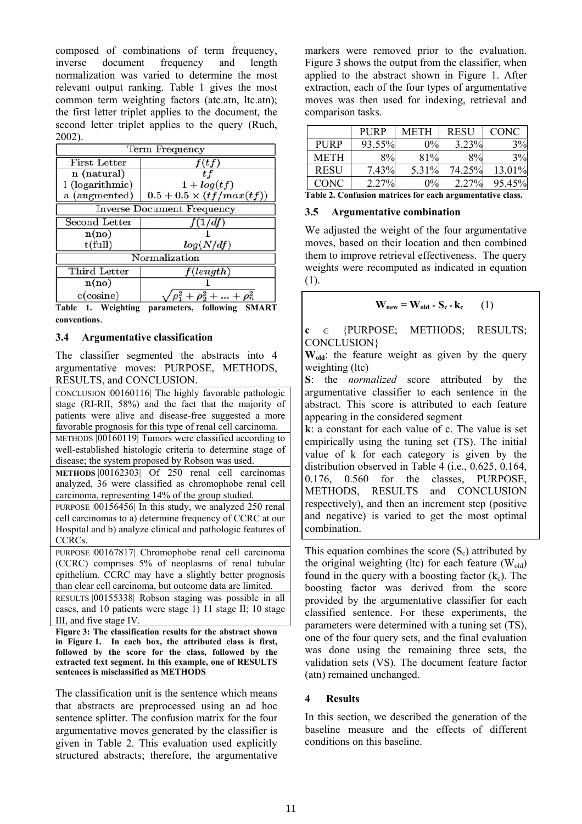composed of combinations of term frequency, inverse document frequency and length normalization was varied to determine the most relevant output ranking. Table 1 gives the most common term weighting factors (atc.atn, ltc.atn); the first letter triplet applies to the document, the second letter triplet applies to the query (Ruch, 2002).

| Term Frequency                    |                                     |  |  |  |
|-----------------------------------|-------------------------------------|--|--|--|
| <b>First Letter</b>               | f(tf)                               |  |  |  |
| n (natural)                       |                                     |  |  |  |
| 1 (logarithmic)                   | $1 + log(t f)$                      |  |  |  |
| a (augmented)                     | $0.5 + 0.5 \times (tf/max(tf))$     |  |  |  |
| <b>Inverse Document Frequency</b> |                                     |  |  |  |
| Second Letter                     | f(1/df)                             |  |  |  |
| n(no)                             |                                     |  |  |  |
| $t$ (full)                        | log(N/df)                           |  |  |  |
|                                   | Normalization                       |  |  |  |
| Third Letter                      | f(length)                           |  |  |  |
| n(no)                             |                                     |  |  |  |
| $c$ (cosine)                      | $\rho_1^2 + \rho_2^2 +  + \rho_n^2$ |  |  |  |

**Table 1. Weighting parameters, following SMART conventions**.

#### **3.4 Argumentative classification**

The classifier segmented the abstracts into 4 argumentative moves: PURPOSE, METHODS, RESULTS, and CONCLUSION.

CONCLUSION |00160116| The highly favorable pathologic stage (RI-RII, 58%) and the fact that the majority of patients were alive and disease-free suggested a more favorable prognosis for this type of renal cell carcinoma. METHODS |00160119| Tumors were classified according to well-established histologic criteria to determine stage of disease; the system proposed by Robson was used.

**METHODS** |00162303| Of 250 renal cell carcinomas analyzed, 36 were classified as chromophobe renal cell carcinoma, representing 14% of the group studied.

PURPOSE |00156456| In this study, we analyzed 250 renal cell carcinomas to a) determine frequency of CCRC at our Hospital and b) analyze clinical and pathologic features of CCRCs.

PURPOSE |00167817| Chromophobe renal cell carcinoma (CCRC) comprises 5% of neoplasms of renal tubular epithelium. CCRC may have a slightly better prognosis than clear cell carcinoma, but outcome data are limited.

RESULTS |00155338| Robson staging was possible in all cases, and 10 patients were stage 1) 11 stage II; 10 stage III, and five stage IV.

**Figure 3: The classification results for the abstract shown in Figure 1. In each box, the attributed class is first, followed by the score for the class, followed by the extracted text segment. In this example, one of RESULTS sentences is misclassified as METHODS**

The classification unit is the sentence which means that abstracts are preprocessed using an ad hoc sentence splitter. The confusion matrix for the four argumentative moves generated by the classifier is given in Table 2. This evaluation used explicitly structured abstracts; therefore, the argumentative markers were removed prior to the evaluation. Figure 3 shows the output from the classifier, when applied to the abstract shown in Figure 1. After extraction, each of the four types of argumentative moves was then used for indexing, retrieval and comparison tasks.

|                          | <b>PURP</b> | METH  | <b>RESU</b> | CONC   |
|--------------------------|-------------|-------|-------------|--------|
| <b>PURP</b>              | 93.55%      | $0\%$ | 3.23%       | 3%     |
| <b>METH</b>              | $8\%$       | 81%   | 8%          | 3%     |
| <b>RESU</b>              | 7.43%       | 5.31% | 74.25%      | 13.01% |
| CONC                     | 2.27%       | $0\%$ | 2.27%       | 95.45% |
| <b>THACC'S A CONTROL</b> |             |       |             |        |

**Table 2. Confusion matrices for each argumentative class.**

### **3.5 Argumentative combination**

We adjusted the weight of the four argumentative moves, based on their location and then combined them to improve retrieval effectiveness. The query weights were recomputed as indicated in equation (1).

$$
\mathbf{W}_{\text{new}} = \mathbf{W}_{\text{old}} * \mathbf{S}_{\text{c}} * \mathbf{k}_{\text{c}} \qquad (1)
$$

**c** ∈ {PURPOSE; METHODS; RESULTS; CONCLUSION}

W<sub>old</sub>: the feature weight as given by the query weighting (ltc)

**S**: the *normalized* score attributed by the argumentative classifier to each sentence in the abstract. This score is attributed to each feature appearing in the considered segment

**k**: a constant for each value of c. The value is set empirically using the tuning set (TS). The initial value of k for each category is given by the distribution observed in Table 4 (i.e., 0.625, 0.164, 0.176, 0.560 for the classes, PURPOSE, METHODS, RESULTS and CONCLUSION respectively), and then an increment step (positive and negative) is varied to get the most optimal combination.

This equation combines the score  $(S_c)$  attributed by the original weighting (ltc) for each feature  $(W_{old})$ found in the query with a boosting factor  $(k_c)$ . The boosting factor was derived from the score provided by the argumentative classifier for each classified sentence. For these experiments, the parameters were determined with a tuning set (TS), one of the four query sets, and the final evaluation was done using the remaining three sets, the validation sets (VS). The document feature factor (atn) remained unchanged.

## **4 Results**

In this section, we described the generation of the baseline measure and the effects of different conditions on this baseline.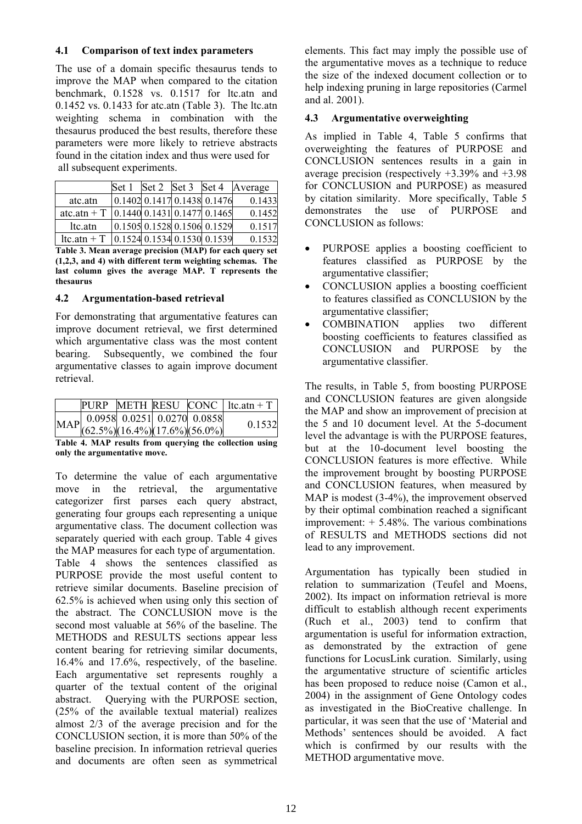### **4.1 Comparison of text index parameters**

The use of a domain specific thesaurus tends to improve the MAP when compared to the citation benchmark, 0.1528 vs. 0.1517 for ltc.atn and 0.1452 vs. 0.1433 for atc.atn (Table 3). The ltc.atn weighting schema in combination with the thesaurus produced the best results, therefore these parameters were more likely to retrieve abstracts found in the citation index and thus were used for all subsequent experiments.

|                | Set 1 | Set 2 | Set 3 Set 4 |                                                             | Average |
|----------------|-------|-------|-------------|-------------------------------------------------------------|---------|
| atc.atn        |       |       |             | $0.1402$ 0.1417 0.1438 0.1476                               | 0.1433  |
| atc.atn $+T$   |       |       |             | $\vert 0.1440 \vert 0.1431 \vert 0.1477 \vert 0.1465 \vert$ | 0.1452  |
| ltc.atn        |       |       |             | $0.1505$ 0.1528 0.1506 0.1529                               | 0.1517  |
| $ltc$ .atn + T |       |       |             | 0.1524 0.1534 0.1530 0.1539                                 | 0.1532  |

**Table 3. Mean average precision (MAP) for each query set (1,2,3, and 4) with different term weighting schemas. The last column gives the average MAP. T represents the thesaurus**

### **4.2 Argumentation-based retrieval**

For demonstrating that argumentative features can improve document retrieval, we first determined which argumentative class was the most content bearing. Subsequently, we combined the four argumentative classes to again improve document retrieval.

|                                                                    |  | PURP METH RESU CONC   $\text{ltc}$ .atn + T |  |
|--------------------------------------------------------------------|--|---------------------------------------------|--|
| MAP 0.0958 0.0251 0.0270 0.0858<br>(62.5%) (16.4%) (17.6%) (56.0%) |  | 0.1532                                      |  |
|                                                                    |  |                                             |  |

**Table 4. MAP results from querying the collection using only the argumentative move.** 

To determine the value of each argumentative move in the retrieval, the argumentative categorizer first parses each query abstract, generating four groups each representing a unique argumentative class. The document collection was separately queried with each group. Table 4 gives the MAP measures for each type of argumentation. Table 4 shows the sentences classified as PURPOSE provide the most useful content to retrieve similar documents. Baseline precision of 62.5% is achieved when using only this section of the abstract. The CONCLUSION move is the second most valuable at 56% of the baseline. The METHODS and RESULTS sections appear less content bearing for retrieving similar documents, 16.4% and 17.6%, respectively, of the baseline. Each argumentative set represents roughly a quarter of the textual content of the original abstract. Querying with the PURPOSE section, (25% of the available textual material) realizes almost 2/3 of the average precision and for the CONCLUSION section, it is more than 50% of the baseline precision. In information retrieval queries and documents are often seen as symmetrical elements. This fact may imply the possible use of the argumentative moves as a technique to reduce the size of the indexed document collection or to help indexing pruning in large repositories (Carmel and al. 2001).

### **4.3 Argumentative overweighting**

As implied in Table 4, Table 5 confirms that overweighting the features of PURPOSE and CONCLUSION sentences results in a gain in average precision (respectively +3.39% and +3.98 for CONCLUSION and PURPOSE) as measured by citation similarity. More specifically, Table 5 demonstrates the use of PURPOSE and CONCLUSION as follows:

- PURPOSE applies a boosting coefficient to features classified as PURPOSE by the argumentative classifier;
- CONCLUSION applies a boosting coefficient to features classified as CONCLUSION by the argumentative classifier;
- COMBINATION applies two different boosting coefficients to features classified as CONCLUSION and PURPOSE by the argumentative classifier.

The results, in Table 5, from boosting PURPOSE and CONCLUSION features are given alongside the MAP and show an improvement of precision at the 5 and 10 document level. At the 5-document level the advantage is with the PURPOSE features, but at the 10-document level boosting the CONCLUSION features is more effective. While the improvement brought by boosting PURPOSE and CONCLUSION features, when measured by MAP is modest (3-4%), the improvement observed by their optimal combination reached a significant improvement: + 5.48%. The various combinations of RESULTS and METHODS sections did not lead to any improvement.

Argumentation has typically been studied in relation to summarization (Teufel and Moens, 2002). Its impact on information retrieval is more difficult to establish although recent experiments (Ruch et al., 2003) tend to confirm that argumentation is useful for information extraction, as demonstrated by the extraction of gene functions for LocusLink curation. Similarly, using the argumentative structure of scientific articles has been proposed to reduce noise (Camon et al., 2004) in the assignment of Gene Ontology codes as investigated in the BioCreative challenge. In particular, it was seen that the use of 'Material and Methods' sentences should be avoided. A fact which is confirmed by our results with the METHOD argumentative move.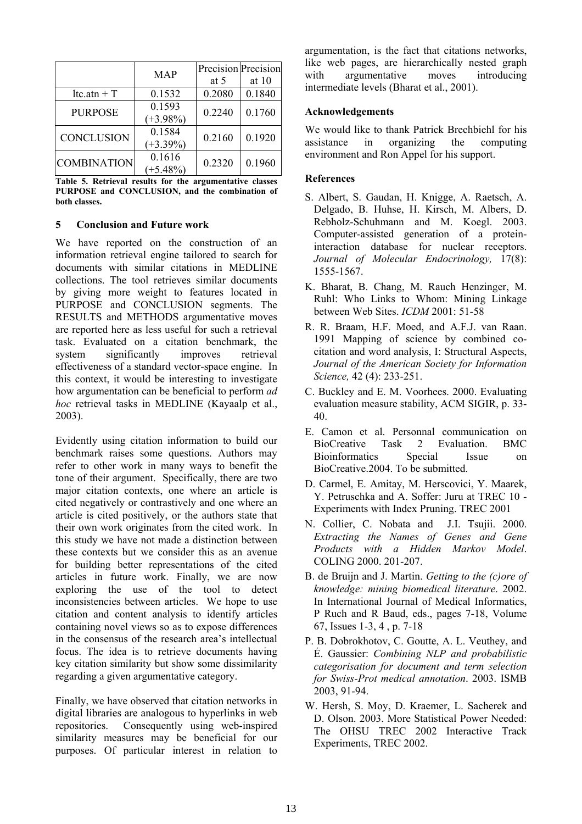|                    | <b>MAP</b>            | Precision Precision<br>at 5 | at $10$ |
|--------------------|-----------------------|-----------------------------|---------|
| $ltc$ .atn + T     | 0.1532                | 0.2080                      | 0.1840  |
| <b>PURPOSE</b>     | 0.1593<br>$(+3.98\%)$ | 0.2240                      | 0.1760  |
| <b>CONCLUSION</b>  | 0.1584<br>$(+3.39\%)$ | 0.2160                      | 0.1920  |
| <b>COMBINATION</b> | 0.1616<br>$(+5.48\%)$ | 0.2320                      | 0.1960  |

**Table 5. Retrieval results for the argumentative classes PURPOSE and CONCLUSION, and the combination of both classes.**

#### **5 Conclusion and Future work**

We have reported on the construction of an information retrieval engine tailored to search for documents with similar citations in MEDLINE collections. The tool retrieves similar documents by giving more weight to features located in PURPOSE and CONCLUSION segments. The RESULTS and METHODS argumentative moves are reported here as less useful for such a retrieval task. Evaluated on a citation benchmark, the system significantly improves retrieval effectiveness of a standard vector-space engine. In this context, it would be interesting to investigate how argumentation can be beneficial to perform *ad hoc* retrieval tasks in MEDLINE (Kayaalp et al., 2003).

Evidently using citation information to build our benchmark raises some questions. Authors may refer to other work in many ways to benefit the tone of their argument. Specifically, there are two major citation contexts, one where an article is cited negatively or contrastively and one where an article is cited positively, or the authors state that their own work originates from the cited work. In this study we have not made a distinction between these contexts but we consider this as an avenue for building better representations of the cited articles in future work. Finally, we are now exploring the use of the tool to detect inconsistencies between articles. We hope to use citation and content analysis to identify articles containing novel views so as to expose differences in the consensus of the research area's intellectual focus. The idea is to retrieve documents having key citation similarity but show some dissimilarity regarding a given argumentative category.

Finally, we have observed that citation networks in digital libraries are analogous to hyperlinks in web repositories. Consequently using web-inspired similarity measures may be beneficial for our purposes. Of particular interest in relation to argumentation, is the fact that citations networks, like web pages, are hierarchically nested graph with argumentative moves introducing intermediate levels (Bharat et al., 2001).

#### **Acknowledgements**

We would like to thank Patrick Brechbiehl for his assistance in organizing the computing environment and Ron Appel for his support.

#### **References**

- S. Albert, S. Gaudan, H. Knigge, A. Raetsch, A. Delgado, B. Huhse, H. Kirsch, M. Albers, D. Rebholz-Schuhmann and M. Koegl. 2003. Computer-assisted generation of a proteininteraction database for nuclear receptors. *Journal of Molecular Endocrinology,* 17(8): 1555-1567.
- K. Bharat, B. Chang, M. Rauch Henzinger, M. Ruhl: Who Links to Whom: Mining Linkage between Web Sites. *ICDM* 2001: 51-58
- R. R. Braam, H.F. Moed, and A.F.J. van Raan. 1991 Mapping of science by combined cocitation and word analysis, I: Structural Aspects, *Journal of the American Society for Information Science,* 42 (4): 233-251.
- C. Buckley and E. M. Voorhees. 2000. Evaluating evaluation measure stability, ACM SIGIR, p. 33- 40.
- E. Camon et al. Personnal communication on BioCreative Task 2 Evaluation. BMC Bioinformatics Special Issue on BioCreative.2004. To be submitted.
- D. Carmel, E. Amitay, M. Herscovici, Y. Maarek, Y. Petruschka and A. Soffer: Juru at TREC 10 - Experiments with Index Pruning. TREC 2001
- N. Collier, C. Nobata and J.I. Tsujii. 2000. *Extracting the Names of Genes and Gene Products with a Hidden Markov Model*. COLING 2000. 201-207.
- B. de Bruijn and J. Martin. *Getting to the (c)ore of knowledge: mining biomedical literature*. 2002. In International Journal of Medical Informatics, P Ruch and R Baud, eds., pages 7-18, Volume 67, Issues 1-3, 4 , p. 7-18
- P. B. Dobrokhotov, C. Goutte, A. L. Veuthey, and É. Gaussier: *Combining NLP and probabilistic categorisation for document and term selection for Swiss-Prot medical annotation*. 2003. ISMB 2003, 91-94.
- W. Hersh, S. Moy, D. Kraemer, L. Sacherek and D. Olson. 2003. More Statistical Power Needed: The OHSU TREC 2002 Interactive Track Experiments, TREC 2002.